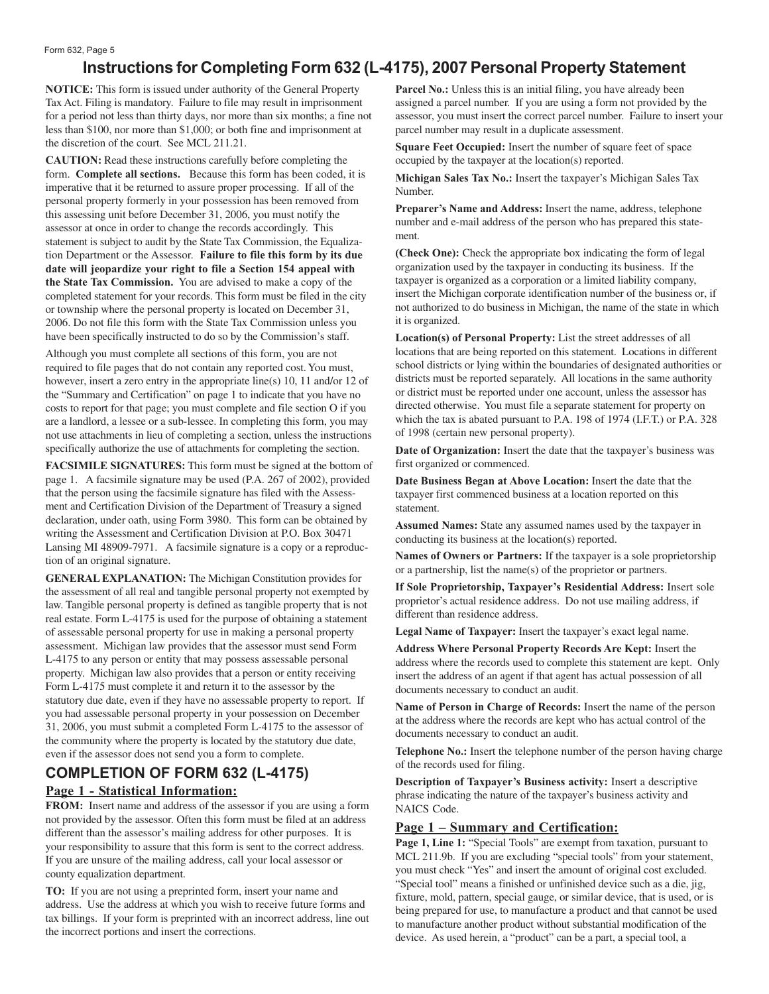# **Instructions for Completing Form 632 (L-4175), 2007 Personal Property Statement**

**NOTICE:** This form is issued under authority of the General Property Tax Act. Filing is mandatory. Failure to file may result in imprisonment for a period not less than thirty days, nor more than six months; a fine not less than \$100, nor more than \$1,000; or both fine and imprisonment at the discretion of the court. See MCL 211.21.

**CAUTION:** Read these instructions carefully before completing the form. **Complete all sections.** Because this form has been coded, it is imperative that it be returned to assure proper processing. If all of the personal property formerly in your possession has been removed from this assessing unit before December 31, 2006, you must notify the assessor at once in order to change the records accordingly. This statement is subject to audit by the State Tax Commission, the Equalization Department or the Assessor. **Failure to file this form by its due date will jeopardize your right to file a Section 154 appeal with the State Tax Commission.** You are advised to make a copy of the completed statement for your records. This form must be filed in the city or township where the personal property is located on December 31, 2006. Do not file this form with the State Tax Commission unless you have been specifically instructed to do so by the Commission's staff.

Although you must complete all sections of this form, you are not required to file pages that do not contain any reported cost. You must, however, insert a zero entry in the appropriate line(s) 10, 11 and/or 12 of the "Summary and Certification" on page 1 to indicate that you have no costs to report for that page; you must complete and file section O if you are a landlord, a lessee or a sub-lessee. In completing this form, you may not use attachments in lieu of completing a section, unless the instructions specifically authorize the use of attachments for completing the section.

**FACSIMILE SIGNATURES:** This form must be signed at the bottom of page 1. A facsimile signature may be used (P.A. 267 of 2002), provided that the person using the facsimile signature has filed with the Assessment and Certification Division of the Department of Treasury a signed declaration, under oath, using Form 3980. This form can be obtained by writing the Assessment and Certification Division at P.O. Box 30471 Lansing MI 48909-7971. A facsimile signature is a copy or a reproduction of an original signature.

**GENERAL EXPLANATION:** The Michigan Constitution provides for the assessment of all real and tangible personal property not exempted by law. Tangible personal property is defined as tangible property that is not real estate. Form L-4175 is used for the purpose of obtaining a statement of assessable personal property for use in making a personal property assessment. Michigan law provides that the assessor must send Form L-4175 to any person or entity that may possess assessable personal property. Michigan law also provides that a person or entity receiving Form L-4175 must complete it and return it to the assessor by the statutory due date, even if they have no assessable property to report. If you had assessable personal property in your possession on December 31, 2006, you must submit a completed Form L-4175 to the assessor of the community where the property is located by the statutory due date, even if the assessor does not send you a form to complete.

## **COMPLETION OF FORM 632 (L-4175) Page 1 - Statistical Information:**

**FROM:** Insert name and address of the assessor if you are using a form not provided by the assessor. Often this form must be filed at an address different than the assessor's mailing address for other purposes. It is your responsibility to assure that this form is sent to the correct address. If you are unsure of the mailing address, call your local assessor or county equalization department.

**TO:** If you are not using a preprinted form, insert your name and address. Use the address at which you wish to receive future forms and tax billings. If your form is preprinted with an incorrect address, line out the incorrect portions and insert the corrections.

Parcel No.: Unless this is an initial filing, you have already been assigned a parcel number. If you are using a form not provided by the assessor, you must insert the correct parcel number. Failure to insert your parcel number may result in a duplicate assessment.

**Square Feet Occupied:** Insert the number of square feet of space occupied by the taxpayer at the location(s) reported.

**Michigan Sales Tax No.:** Insert the taxpayer's Michigan Sales Tax Number.

**Preparer's Name and Address:** Insert the name, address, telephone number and e-mail address of the person who has prepared this statement.

**(Check One):** Check the appropriate box indicating the form of legal organization used by the taxpayer in conducting its business. If the taxpayer is organized as a corporation or a limited liability company, insert the Michigan corporate identification number of the business or, if not authorized to do business in Michigan, the name of the state in which it is organized.

**Location(s) of Personal Property:** List the street addresses of all locations that are being reported on this statement. Locations in different school districts or lying within the boundaries of designated authorities or districts must be reported separately. All locations in the same authority or district must be reported under one account, unless the assessor has directed otherwise. You must file a separate statement for property on which the tax is abated pursuant to P.A. 198 of 1974 (I.F.T.) or P.A. 328 of 1998 (certain new personal property).

**Date of Organization:** Insert the date that the taxpayer's business was first organized or commenced.

**Date Business Began at Above Location:** Insert the date that the taxpayer first commenced business at a location reported on this statement.

**Assumed Names:** State any assumed names used by the taxpayer in conducting its business at the location(s) reported.

**Names of Owners or Partners:** If the taxpayer is a sole proprietorship or a partnership, list the name(s) of the proprietor or partners.

**If Sole Proprietorship, Taxpayer's Residential Address:** Insert sole proprietor's actual residence address. Do not use mailing address, if different than residence address.

**Legal Name of Taxpayer:** Insert the taxpayer's exact legal name.

**Address Where Personal Property Records Are Kept:** Insert the address where the records used to complete this statement are kept. Only insert the address of an agent if that agent has actual possession of all documents necessary to conduct an audit.

**Name of Person in Charge of Records:** Insert the name of the person at the address where the records are kept who has actual control of the documents necessary to conduct an audit.

**Telephone No.:** Insert the telephone number of the person having charge of the records used for filing.

**Description of Taxpayer's Business activity:** Insert a descriptive phrase indicating the nature of the taxpayer's business activity and NAICS Code.

### **Page 1 – Summary and Certification:**

**Page 1, Line 1:** "Special Tools" are exempt from taxation, pursuant to MCL 211.9b. If you are excluding "special tools" from your statement, you must check "Yes" and insert the amount of original cost excluded. "Special tool" means a finished or unfinished device such as a die, jig, fixture, mold, pattern, special gauge, or similar device, that is used, or is being prepared for use, to manufacture a product and that cannot be used to manufacture another product without substantial modification of the device. As used herein, a "product" can be a part, a special tool, a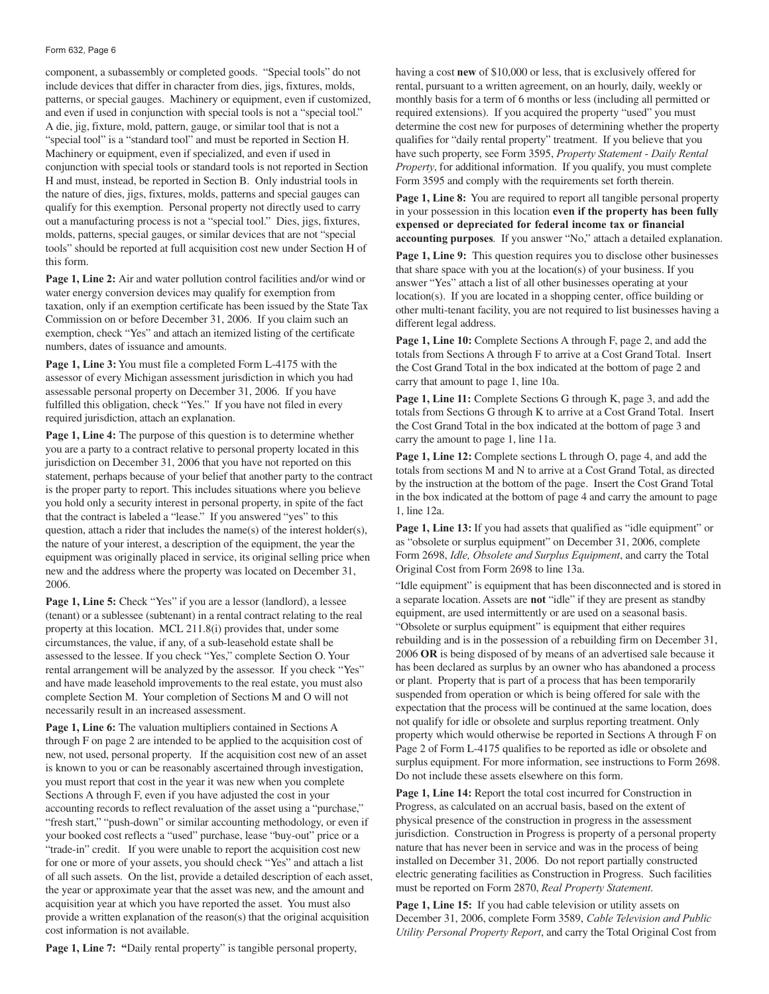#### Form 632, Page 6

component, a subassembly or completed goods. "Special tools" do not include devices that differ in character from dies, jigs, fixtures, molds, patterns, or special gauges. Machinery or equipment, even if customized, and even if used in conjunction with special tools is not a "special tool." A die, jig, fixture, mold, pattern, gauge, or similar tool that is not a "special tool" is a "standard tool" and must be reported in Section H. Machinery or equipment, even if specialized, and even if used in conjunction with special tools or standard tools is not reported in Section H and must, instead, be reported in Section B. Only industrial tools in the nature of dies, jigs, fixtures, molds, patterns and special gauges can qualify for this exemption. Personal property not directly used to carry out a manufacturing process is not a "special tool." Dies, jigs, fixtures, molds, patterns, special gauges, or similar devices that are not "special tools" should be reported at full acquisition cost new under Section H of this form.

**Page 1, Line 2:** Air and water pollution control facilities and/or wind or water energy conversion devices may qualify for exemption from taxation, only if an exemption certificate has been issued by the State Tax Commission on or before December 31, 2006. If you claim such an exemption, check "Yes" and attach an itemized listing of the certificate numbers, dates of issuance and amounts.

**Page 1, Line 3:** You must file a completed Form L-4175 with the assessor of every Michigan assessment jurisdiction in which you had assessable personal property on December 31, 2006. If you have fulfilled this obligation, check "Yes." If you have not filed in every required jurisdiction, attach an explanation.

**Page 1, Line 4:** The purpose of this question is to determine whether you are a party to a contract relative to personal property located in this jurisdiction on December 31, 2006 that you have not reported on this statement, perhaps because of your belief that another party to the contract is the proper party to report. This includes situations where you believe you hold only a security interest in personal property, in spite of the fact that the contract is labeled a "lease." If you answered "yes" to this question, attach a rider that includes the name(s) of the interest holder(s), the nature of your interest, a description of the equipment, the year the equipment was originally placed in service, its original selling price when new and the address where the property was located on December 31, 2006.

**Page 1, Line 5:** Check "Yes" if you are a lessor (landlord), a lessee (tenant) or a sublessee (subtenant) in a rental contract relating to the real property at this location. MCL 211.8(i) provides that, under some circumstances, the value, if any, of a sub-leasehold estate shall be assessed to the lessee. If you check "Yes," complete Section O. Your rental arrangement will be analyzed by the assessor. If you check "Yes" and have made leasehold improvements to the real estate, you must also complete Section M. Your completion of Sections M and O will not necessarily result in an increased assessment.

**Page 1, Line 6:** The valuation multipliers contained in Sections A through F on page 2 are intended to be applied to the acquisition cost of new, not used, personal property. If the acquisition cost new of an asset is known to you or can be reasonably ascertained through investigation, you must report that cost in the year it was new when you complete Sections A through F, even if you have adjusted the cost in your accounting records to reflect revaluation of the asset using a "purchase," "fresh start," "push-down" or similar accounting methodology, or even if your booked cost reflects a "used" purchase, lease "buy-out" price or a "trade-in" credit. If you were unable to report the acquisition cost new for one or more of your assets, you should check "Yes" and attach a list of all such assets. On the list, provide a detailed description of each asset, the year or approximate year that the asset was new, and the amount and acquisition year at which you have reported the asset. You must also provide a written explanation of the reason(s) that the original acquisition cost information is not available.

having a cost **new** of \$10,000 or less, that is exclusively offered for rental, pursuant to a written agreement, on an hourly, daily, weekly or monthly basis for a term of 6 months or less (including all permitted or required extensions). If you acquired the property "used" you must determine the cost new for purposes of determining whether the property qualifies for "daily rental property" treatment. If you believe that you have such property, see Form 3595, *Property Statement - Daily Rental Property*, for additional information. If you qualify, you must complete Form 3595 and comply with the requirements set forth therein.

Page 1, Line 8: You are required to report all tangible personal property in your possession in this location **even if the property has been fully expensed or depreciated for federal income tax or financial accounting purposes**. If you answer "No," attach a detailed explanation.

**Page 1, Line 9:** This question requires you to disclose other businesses that share space with you at the location(s) of your business. If you answer "Yes" attach a list of all other businesses operating at your location(s). If you are located in a shopping center, office building or other multi-tenant facility, you are not required to list businesses having a different legal address.

**Page 1, Line 10:** Complete Sections A through F, page 2, and add the totals from Sections A through F to arrive at a Cost Grand Total. Insert the Cost Grand Total in the box indicated at the bottom of page 2 and carry that amount to page 1, line 10a.

Page 1, Line 11: Complete Sections G through K, page 3, and add the totals from Sections G through K to arrive at a Cost Grand Total. Insert the Cost Grand Total in the box indicated at the bottom of page 3 and carry the amount to page 1, line 11a.

Page 1, Line 12: Complete sections L through O, page 4, and add the totals from sections M and N to arrive at a Cost Grand Total, as directed by the instruction at the bottom of the page. Insert the Cost Grand Total in the box indicated at the bottom of page 4 and carry the amount to page 1, line 12a.

**Page 1, Line 13:** If you had assets that qualified as "idle equipment" or as "obsolete or surplus equipment" on December 31, 2006, complete Form 2698, *Idle, Obsolete and Surplus Equipment*, and carry the Total Original Cost from Form 2698 to line 13a.

"Idle equipment" is equipment that has been disconnected and is stored in a separate location. Assets are **not** "idle" if they are present as standby equipment, are used intermittently or are used on a seasonal basis. "Obsolete or surplus equipment" is equipment that either requires rebuilding and is in the possession of a rebuilding firm on December 31, 2006 **OR** is being disposed of by means of an advertised sale because it has been declared as surplus by an owner who has abandoned a process or plant. Property that is part of a process that has been temporarily suspended from operation or which is being offered for sale with the expectation that the process will be continued at the same location, does not qualify for idle or obsolete and surplus reporting treatment. Only property which would otherwise be reported in Sections A through F on Page 2 of Form L-4175 qualifies to be reported as idle or obsolete and surplus equipment. For more information, see instructions to Form 2698. Do not include these assets elsewhere on this form.

**Page 1, Line 14:** Report the total cost incurred for Construction in Progress, as calculated on an accrual basis, based on the extent of physical presence of the construction in progress in the assessment jurisdiction. Construction in Progress is property of a personal property nature that has never been in service and was in the process of being installed on December 31, 2006. Do not report partially constructed electric generating facilities as Construction in Progress. Such facilities must be reported on Form 2870, *Real Property Statement*.

**Page 1, Line 15:** If you had cable television or utility assets on December 31, 2006, complete Form 3589, *Cable Television and Public Utility Personal Property Report*, and carry the Total Original Cost from

**Page 1, Line 7: "**Daily rental property" is tangible personal property,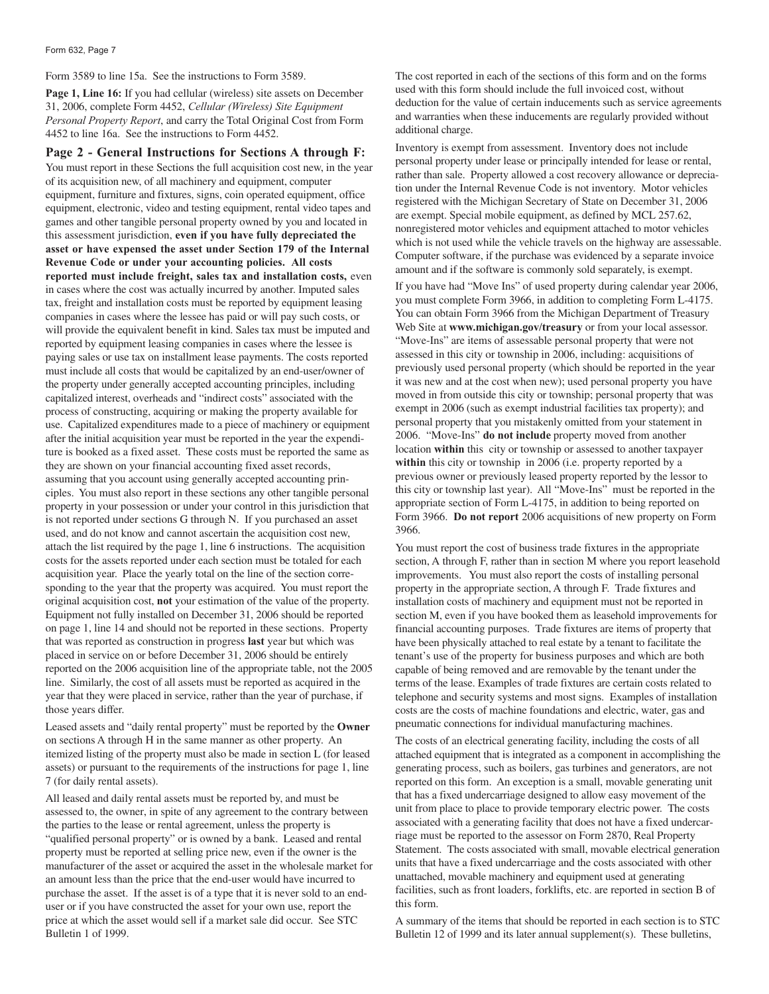Form 3589 to line 15a. See the instructions to Form 3589.

**Page 1, Line 16:** If you had cellular (wireless) site assets on December 31, 2006, complete Form 4452, *Cellular (Wireless) Site Equipment Personal Property Report*, and carry the Total Original Cost from Form 4452 to line 16a. See the instructions to Form 4452.

**Page 2 - General Instructions for Sections A through F:** You must report in these Sections the full acquisition cost new, in the year of its acquisition new, of all machinery and equipment, computer equipment, furniture and fixtures, signs, coin operated equipment, office equipment, electronic, video and testing equipment, rental video tapes and games and other tangible personal property owned by you and located in this assessment jurisdiction, **even if you have fully depreciated the asset or have expensed the asset under Section 179 of the Internal Revenue Code or under your accounting policies. All costs reported must include freight, sales tax and installation costs,** even in cases where the cost was actually incurred by another. Imputed sales tax, freight and installation costs must be reported by equipment leasing companies in cases where the lessee has paid or will pay such costs, or will provide the equivalent benefit in kind. Sales tax must be imputed and reported by equipment leasing companies in cases where the lessee is paying sales or use tax on installment lease payments. The costs reported must include all costs that would be capitalized by an end-user/owner of the property under generally accepted accounting principles, including capitalized interest, overheads and "indirect costs" associated with the process of constructing, acquiring or making the property available for use. Capitalized expenditures made to a piece of machinery or equipment after the initial acquisition year must be reported in the year the expenditure is booked as a fixed asset. These costs must be reported the same as they are shown on your financial accounting fixed asset records, assuming that you account using generally accepted accounting principles. You must also report in these sections any other tangible personal property in your possession or under your control in this jurisdiction that is not reported under sections G through N. If you purchased an asset used, and do not know and cannot ascertain the acquisition cost new, attach the list required by the page 1, line 6 instructions. The acquisition costs for the assets reported under each section must be totaled for each acquisition year. Place the yearly total on the line of the section corresponding to the year that the property was acquired. You must report the original acquisition cost, **not** your estimation of the value of the property. Equipment not fully installed on December 31, 2006 should be reported on page 1, line 14 and should not be reported in these sections. Property that was reported as construction in progress **last** year but which was placed in service on or before December 31, 2006 should be entirely reported on the 2006 acquisition line of the appropriate table, not the 2005 line. Similarly, the cost of all assets must be reported as acquired in the year that they were placed in service, rather than the year of purchase, if those years differ.

Leased assets and "daily rental property" must be reported by the **Owner** on sections A through H in the same manner as other property. An itemized listing of the property must also be made in section L (for leased assets) or pursuant to the requirements of the instructions for page 1, line 7 (for daily rental assets).

All leased and daily rental assets must be reported by, and must be assessed to, the owner, in spite of any agreement to the contrary between the parties to the lease or rental agreement, unless the property is "qualified personal property" or is owned by a bank. Leased and rental property must be reported at selling price new, even if the owner is the manufacturer of the asset or acquired the asset in the wholesale market for an amount less than the price that the end-user would have incurred to purchase the asset. If the asset is of a type that it is never sold to an enduser or if you have constructed the asset for your own use, report the price at which the asset would sell if a market sale did occur. See STC Bulletin 1 of 1999.

The cost reported in each of the sections of this form and on the forms used with this form should include the full invoiced cost, without deduction for the value of certain inducements such as service agreements and warranties when these inducements are regularly provided without additional charge.

Inventory is exempt from assessment. Inventory does not include personal property under lease or principally intended for lease or rental, rather than sale. Property allowed a cost recovery allowance or depreciation under the Internal Revenue Code is not inventory. Motor vehicles registered with the Michigan Secretary of State on December 31, 2006 are exempt. Special mobile equipment, as defined by MCL 257.62, nonregistered motor vehicles and equipment attached to motor vehicles which is not used while the vehicle travels on the highway are assessable. Computer software, if the purchase was evidenced by a separate invoice amount and if the software is commonly sold separately, is exempt.

If you have had "Move Ins" of used property during calendar year 2006, you must complete Form 3966, in addition to completing Form L-4175. You can obtain Form 3966 from the Michigan Department of Treasury Web Site at **www.michigan.gov/treasury** or from your local assessor. "Move-Ins" are items of assessable personal property that were not assessed in this city or township in 2006, including: acquisitions of previously used personal property (which should be reported in the year it was new and at the cost when new); used personal property you have moved in from outside this city or township; personal property that was exempt in 2006 (such as exempt industrial facilities tax property); and personal property that you mistakenly omitted from your statement in 2006. "Move-Ins" **do not include** property moved from another location **within** this city or township or assessed to another taxpayer within this city or township in 2006 (i.e. property reported by a previous owner or previously leased property reported by the lessor to this city or township last year). All "Move-Ins" must be reported in the appropriate section of Form L-4175, in addition to being reported on Form 3966. **Do not report** 2006 acquisitions of new property on Form 3966.

You must report the cost of business trade fixtures in the appropriate section, A through F, rather than in section M where you report leasehold improvements. You must also report the costs of installing personal property in the appropriate section, A through F. Trade fixtures and installation costs of machinery and equipment must not be reported in section M, even if you have booked them as leasehold improvements for financial accounting purposes. Trade fixtures are items of property that have been physically attached to real estate by a tenant to facilitate the tenant's use of the property for business purposes and which are both capable of being removed and are removable by the tenant under the terms of the lease. Examples of trade fixtures are certain costs related to telephone and security systems and most signs. Examples of installation costs are the costs of machine foundations and electric, water, gas and pneumatic connections for individual manufacturing machines.

The costs of an electrical generating facility, including the costs of all attached equipment that is integrated as a component in accomplishing the generating process, such as boilers, gas turbines and generators, are not reported on this form. An exception is a small, movable generating unit that has a fixed undercarriage designed to allow easy movement of the unit from place to place to provide temporary electric power. The costs associated with a generating facility that does not have a fixed undercarriage must be reported to the assessor on Form 2870, Real Property Statement. The costs associated with small, movable electrical generation units that have a fixed undercarriage and the costs associated with other unattached, movable machinery and equipment used at generating facilities, such as front loaders, forklifts, etc. are reported in section B of this form.

A summary of the items that should be reported in each section is to STC Bulletin 12 of 1999 and its later annual supplement(s). These bulletins,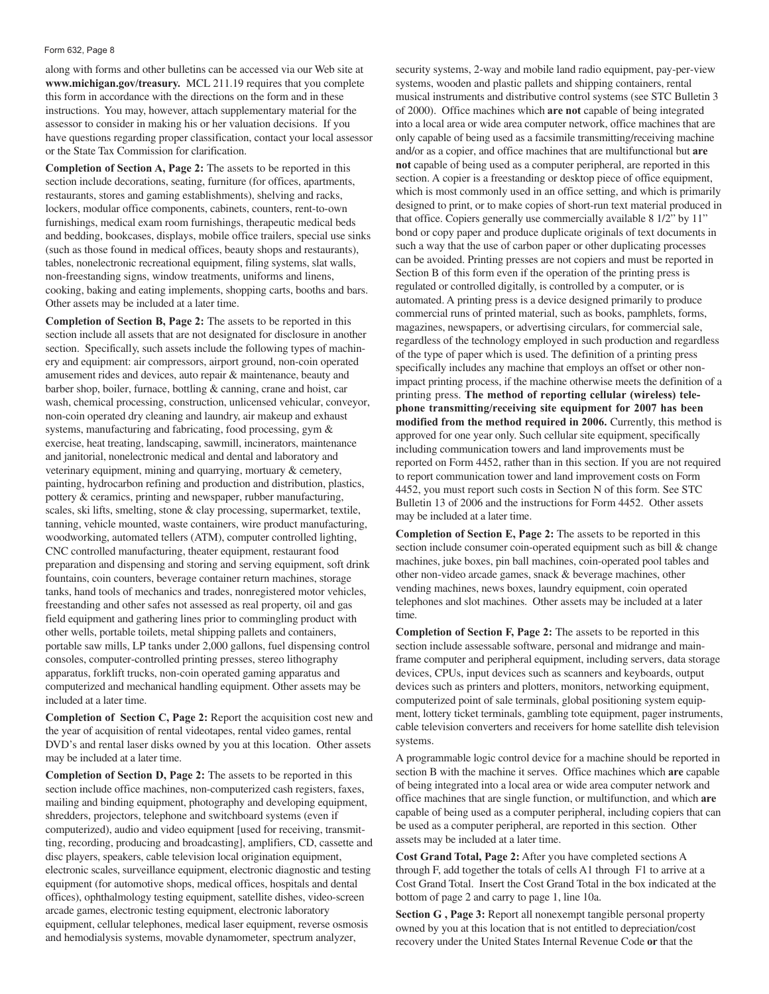#### Form 632, Page 8

along with forms and other bulletins can be accessed via our Web site at **www.michigan.gov/treasury.** MCL 211.19 requires that you complete this form in accordance with the directions on the form and in these instructions. You may, however, attach supplementary material for the assessor to consider in making his or her valuation decisions. If you have questions regarding proper classification, contact your local assessor or the State Tax Commission for clarification.

**Completion of Section A, Page 2:** The assets to be reported in this section include decorations, seating, furniture (for offices, apartments, restaurants, stores and gaming establishments), shelving and racks, lockers, modular office components, cabinets, counters, rent-to-own furnishings, medical exam room furnishings, therapeutic medical beds and bedding, bookcases, displays, mobile office trailers, special use sinks (such as those found in medical offices, beauty shops and restaurants), tables, nonelectronic recreational equipment, filing systems, slat walls, non-freestanding signs, window treatments, uniforms and linens, cooking, baking and eating implements, shopping carts, booths and bars. Other assets may be included at a later time.

**Completion of Section B, Page 2:** The assets to be reported in this section include all assets that are not designated for disclosure in another section. Specifically, such assets include the following types of machinery and equipment: air compressors, airport ground, non-coin operated amusement rides and devices, auto repair & maintenance, beauty and barber shop, boiler, furnace, bottling & canning, crane and hoist, car wash, chemical processing, construction, unlicensed vehicular, conveyor, non-coin operated dry cleaning and laundry, air makeup and exhaust systems, manufacturing and fabricating, food processing, gym & exercise, heat treating, landscaping, sawmill, incinerators, maintenance and janitorial, nonelectronic medical and dental and laboratory and veterinary equipment, mining and quarrying, mortuary & cemetery, painting, hydrocarbon refining and production and distribution, plastics, pottery & ceramics, printing and newspaper, rubber manufacturing, scales, ski lifts, smelting, stone & clay processing, supermarket, textile, tanning, vehicle mounted, waste containers, wire product manufacturing, woodworking, automated tellers (ATM), computer controlled lighting, CNC controlled manufacturing, theater equipment, restaurant food preparation and dispensing and storing and serving equipment, soft drink fountains, coin counters, beverage container return machines, storage tanks, hand tools of mechanics and trades, nonregistered motor vehicles, freestanding and other safes not assessed as real property, oil and gas field equipment and gathering lines prior to commingling product with other wells, portable toilets, metal shipping pallets and containers, portable saw mills, LP tanks under 2,000 gallons, fuel dispensing control consoles, computer-controlled printing presses, stereo lithography apparatus, forklift trucks, non-coin operated gaming apparatus and computerized and mechanical handling equipment. Other assets may be included at a later time.

**Completion of Section C, Page 2:** Report the acquisition cost new and the year of acquisition of rental videotapes, rental video games, rental DVD's and rental laser disks owned by you at this location. Other assets may be included at a later time.

**Completion of Section D, Page 2:** The assets to be reported in this section include office machines, non-computerized cash registers, faxes, mailing and binding equipment, photography and developing equipment, shredders, projectors, telephone and switchboard systems (even if computerized), audio and video equipment [used for receiving, transmitting, recording, producing and broadcasting], amplifiers, CD, cassette and disc players, speakers, cable television local origination equipment, electronic scales, surveillance equipment, electronic diagnostic and testing equipment (for automotive shops, medical offices, hospitals and dental offices), ophthalmology testing equipment, satellite dishes, video-screen arcade games, electronic testing equipment, electronic laboratory equipment, cellular telephones, medical laser equipment, reverse osmosis and hemodialysis systems, movable dynamometer, spectrum analyzer,

security systems, 2-way and mobile land radio equipment, pay-per-view systems, wooden and plastic pallets and shipping containers, rental musical instruments and distributive control systems (see STC Bulletin 3 of 2000). Office machines which **are not** capable of being integrated into a local area or wide area computer network, office machines that are only capable of being used as a facsimile transmitting/receiving machine and/or as a copier, and office machines that are multifunctional but **are not** capable of being used as a computer peripheral, are reported in this section. A copier is a freestanding or desktop piece of office equipment, which is most commonly used in an office setting, and which is primarily designed to print, or to make copies of short-run text material produced in that office. Copiers generally use commercially available 8 1/2" by 11" bond or copy paper and produce duplicate originals of text documents in such a way that the use of carbon paper or other duplicating processes can be avoided. Printing presses are not copiers and must be reported in Section B of this form even if the operation of the printing press is regulated or controlled digitally, is controlled by a computer, or is automated. A printing press is a device designed primarily to produce commercial runs of printed material, such as books, pamphlets, forms, magazines, newspapers, or advertising circulars, for commercial sale, regardless of the technology employed in such production and regardless of the type of paper which is used. The definition of a printing press specifically includes any machine that employs an offset or other nonimpact printing process, if the machine otherwise meets the definition of a printing press. **The method of reporting cellular (wireless) telephone transmitting/receiving site equipment for 2007 has been modified from the method required in 2006.** Currently, this method is approved for one year only. Such cellular site equipment, specifically including communication towers and land improvements must be reported on Form 4452, rather than in this section. If you are not required to report communication tower and land improvement costs on Form 4452, you must report such costs in Section N of this form. See STC Bulletin 13 of 2006 and the instructions for Form 4452. Other assets may be included at a later time.

**Completion of Section E, Page 2:** The assets to be reported in this section include consumer coin-operated equipment such as bill & change machines, juke boxes, pin ball machines, coin-operated pool tables and other non-video arcade games, snack & beverage machines, other vending machines, news boxes, laundry equipment, coin operated telephones and slot machines. Other assets may be included at a later time.

**Completion of Section F, Page 2:** The assets to be reported in this section include assessable software, personal and midrange and mainframe computer and peripheral equipment, including servers, data storage devices, CPUs, input devices such as scanners and keyboards, output devices such as printers and plotters, monitors, networking equipment, computerized point of sale terminals, global positioning system equipment, lottery ticket terminals, gambling tote equipment, pager instruments, cable television converters and receivers for home satellite dish television systems.

A programmable logic control device for a machine should be reported in section B with the machine it serves. Office machines which **are** capable of being integrated into a local area or wide area computer network and office machines that are single function, or multifunction, and which **are** capable of being used as a computer peripheral, including copiers that can be used as a computer peripheral, are reported in this section. Other assets may be included at a later time.

**Cost Grand Total, Page 2:** After you have completed sections A through F, add together the totals of cells A1 through F1 to arrive at a Cost Grand Total. Insert the Cost Grand Total in the box indicated at the bottom of page 2 and carry to page 1, line 10a.

**Section G , Page 3:** Report all nonexempt tangible personal property owned by you at this location that is not entitled to depreciation/cost recovery under the United States Internal Revenue Code **or** that the